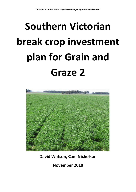# **Southern Victorian break crop investment plan for Grain and Graze 2**



**David Watson, Cam Nicholson**

**November 2010**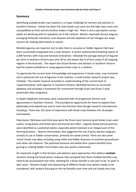## **Summary**

Identifying suitable break crop rotations is a major challenge for farmers and advisors in Southern Victoria. Canola has been the main break crop used, but the high input costs and susceptibility to frost and dry finishes makes it high risk. There is also a perception canola yields are declining with its repeated use in the rotation. Weeds, especially annual ryegrass, emerging herbicide resistance, root diseases and the depletion of soil nitrogen are major reasons for seeking alternatives to canola.

Reliable legumes are required, but to date there is no pulse or fodder legume that have been successfully integrated into a crop rotation. A recent national benchmarking report of 2,400 farmers with crop and livestock enterprises indicated the average amount of legume per farm in Southern Victoria was only 18 ha, the lowest (by % of farm area) of all cropping regions in the Australia. The report also found farmers and advisors in Southern Victoria had the lowest confidence in using legume break crops in a rotation.

To appreciate the current level of knowledge and experience in break crops, crop transition and in particular the use of legumes in the rotation, a small market research project was initiated. The market research provided an understanding of the current level of 'experimentation' with legumes in Southern Victoria, identified barriers to successful adoption and provided a framework for investment through Grain and Graze 2 (and potentially other programs).

In-depth telephone interviews were conducted with 16 progressive farmers and agronomists in Southern Victoria. This provided an opportunity for them to explore their philosophy and experiences and to voice the direction they though research and extension should go. There was 141 years of experience with break crops between the 16 people interviewed.

Faba beans, field peas and chick peas were the three most common grain break crops used. Lupins, mung beans and lentils were mentioned less often. Legume based annual pastures were identified as a potential option, especially where livestock is an integral part of the farming business. Several interviewees also suggested the use of grass species (ryegrass, cereals) to use in fodder conservation, primarily for weed control. There are also some 'novel' break crop ideas including using millet and fodder brassicas to maintain groundcover and retain soil moisture. The potential livestock and whole farm system benefits from grazing or making fodder from break crops was poorly understood.

An important insight is that farmers and advisors want approaches that address **multiple** solutions during the break phase, however they accepted that these multiple benefits may need to be accumulated over time, allowing for a lesser benefit in one year to be 're-paid' in later years. Rotation length and sequencing of different break crop options needs to be considered, with analysis focusing on the net benefits over time and not simply one crop.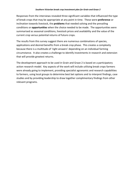Responses from the interviews revealed three significant variables that influenced the type of break crops that may be appropriate at any point in time. These were **preference** or inclination towards livestock, the **problems** that needed solving and the prevailing conditions or **opportunities** when the choice needed to be made. The opportunities were summarised as seasonal conditions, livestock prices and availability and the value of the current crop versus potential returns of future crops.

The results from this survey suggest there are numerous combinations of species, applications and desired benefits from a break crop phase. This creates a complexity because there is a multitude of 'right answers' depending on an individual farming circumstance. It also creates a challenge to identify investments in research and extension that will provide greatest returns.

The development approach to be used in Grain and Graze 2 is based on a participatory action research model. Key aspects of the work will include utilising break crops farmers were already going to implement, providing specialist agronomic and research capabilities to farmers, using local groups to determine best bet options and to interpret findings, case studies and by providing leadership to draw together complimentary findings from other relevant programs.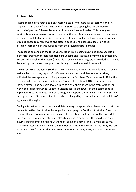# **1. Preamble**

Finding reliable crop rotations is an emerging issue for farmers in Southern Victoria. As cropping is a relatively 'new' activity, the transition to cropping has simply required the removal of pasture followed by a cycle of canola, wheat and barley. This three year rotation is repeated several times. However in the next few years more and more farmers will have completed a six or nine year crop rotation and will be looking for a break or non cropping phase to combat weed and disease build up and address a depletion of soil nitrogen (part of which was supplied from the previous pasture phase).

The reliance on canola in the three year rotation is also being questioned because it is a higher risk crop than cereals (additional input costs and less flexibility if yield is affected by frost or a dry finish to the season). Anecdotal evidence also suggests a slow decline in yields despite improved agronomic practices, through to be due to soil disease build up.

The current crop rotation in Southern Victoria does not include a reliable legume. A recent national benchmarking report of 2,400 farmers with crop and livestock enterprises, indicated the average amount of legume per farm in Southern Victoria was only 18 ha, the lowest of all cropping regions in Australia (Roberts Evaluation, 2010). The same report showed farmers and advisors saw legumes as highly appropriate in the crop rotation, but within the regions surveyed, Southern Victoria scored the lowest in their confidence to implement these rotations. To meet the legume adoption targets set in Grain and Graze 2, the report stated 'Southern Victoria may be challenged by the very limited marketability of legumes in the region'.

Finding alternative crops to canola **and** determining the appropriate place and application of these alternatives is critical to the longevity of cropping the Southern Australia. Given the current 'lifecycle' of many cropping phases, it is inevitable that farmers will be 'forced' to experiment. This experimentation is already starting to happen, with a rapid increase in legume experimentation (figure 1) and the trialling of lucerne. The SFS member survey (2008) indicated a rapid change in the number of farms with lucerne. In 2004 only 4% had lucerne on their farms but this was projected to reach 61% by 2008, albeit on a very small area.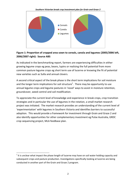*Southern Victorian break crop investment plan for Grain and Graze 2*



# **Figure 1: Proportion of cropped area sown to cereals, canola and legumes (2005/2006 left, 2006/2007 right): Source ABS**

As indicated in the benchmarking report, farmers are experiencing difficulties in either growing legume crops eg peas, beans, lupins or realising the full potential from more common pasture legume crops eg short term use of lucerne or knowing the fit of potential new varieties such as Sulla and annual clovers.

A second critical aspect of the break phase is the short term implications for soil moisture and the longer term implications for soil structure<sup>1</sup>. There may be opportunity to use annual legume crops and legume pastures in 'novel' ways to assist in moisture retention, groundcover, weed control and soil modification.

To appreciate the current level of knowledge and experience in break crops, crop transition strategies and in particular the use of legumes in the rotation, a small market research project was initiated. The market research provides an understanding of the current level of 'experimentation' with legumes in Southern Victoria and identifies barriers to successful adoption. This would provide a framework for investment through Grain and Graze 2 and also identify opportunities for other complementary investment eg Pulse Australia, GRDC crop sequencing project, MLA feedbase plan.

**.** 

 $<sup>1</sup>$  It is unclear what impact the phase length of lucerne may have on soil water holding capacity and</sup> subsequent crops and pasture production. Investigations specifically looking at lucerne are being conducted in another part of the Grain and Graze 2 program.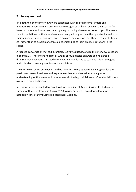# **2. Survey method**

In-depth telephone interviews were conducted with 16 progressive farmers and agronomists in Southern Victoria who were recognised as being active in their search for better rotations and have been investigating or trialing alternative break crops. This was a select population and the interviews were designed to give them the opportunity to discuss their philosophy and experiences and to explore the direction they though research should go (rather than to develop a technical understanding of 'best practice' rotations in the region).

A focused conversation method (Stanfield, 1997) was used to guide the interview questions (appendix 1). There were no right or wrong or multi choice answers and no agree or disagree type questions. Instead interviews was conducted to tease out ideas, thoughts and attitudes of leading practitioners and advisors.

The interviews lasted between 40 and 90 minutes. Every opportunity was given for the participants to explore ideas and experiences that would contribute to a greater understanding of the issues and requirements in the high rainfall zone. Confidentiality was assured to each participant.

Interviews were conducted by David Watson, principal of Agvise Services Pty Ltd over a three month period from mid August 2010. Agvise Services is an independent crop agronomy consultancy business located near Geelong.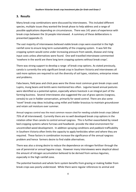# **3. Results**

Many break crop combinations were discussed by interviewees. This included different species, multiple issues they wanted the break phase to help address and a range of possible applications depending on circumstances. There was 141 years of experience with break crops between the 16 people interviewed. A summary of these deliberations is presented (appendix 2).

The vast majority of interviewees believed viable break crops were essential in the high rainfall zone to ensure long term sustainability of the cropping system. It was felt the cropping system would come under increasing pressure from weeds, disease and rising input costs unless alternatives were found. One well travelled interviewee commented 'nowhere in the world are there long term cropping systems without break crops'.

There was strong support to develop a range of break crop options. As stated previously, canola is currently the only significant break crop in Southern Victoria and interviewees all said more options are required to suit the diversity of soil types, rotations, enterprise mixes and problems.

Faba beans, field peas and chick peas were the three most common grain break crops used. Lupins, mung beans and lentils were mentioned less often. Legume based annual pastures were identified as a potential option, especially where livestock is an integral part of the farming business. Several interviewees also suggested the use of grass species (ryegrass, cereals) to use in fodder conservation, primarily for weed control. There are also some 'novel' break crop ideas including using millet and fodder brassicas to maintain groundcover and retain soil moisture over summer.

Annual ryegrass control was the most common reason cited for needing suitable break crops (about 75% of all interviewed). Currently there are no well developed break crop options in the rotation other than canola to control annual ryegrass. This is further exacerbated by raised bed cropping systems where furrows and headlands provide the ideal environment for uncontrolled weed development. In addition spraying conditions and paddock trafficability in Southern Victoria often limits the capacity to apply herbicides when and where they are required. These factors in combination increase the significance of the annual ryegrass problem and hence farmers desire to find viable alternatives.

There was also a strong desire to reduce the dependence on nitrogen fertiliser through the use of perennial or annual legume crops. However many interviewees were skeptical about the amount of nitrogen accumulation believed to be derived from various legumes, especially in the high rainfall zone.

The potential livestock and whole farm system benefits from grazing or making fodder from break crops was poorly understood. While there were regular references to animal and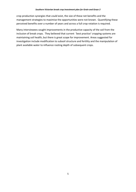crop production synergies that *could* exist, the size of these net benefits and the management strategies to maximise the opportunities were not known. Quantifying these perceived benefits over a number of years and across a full crop rotation is required.

Many interviewees sought improvements in the productive capacity of the soil from the inclusion of break crops. They believed that current 'best practice' cropping systems are maintaining soil health, but there is great scope for improvement. Areas suggested for investigation include modification to subsoil structure and fertility and the manipulation of plant available water to influence rooting depth of subsequent crops.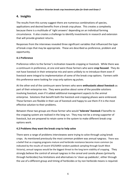# **4. Insights**

The results from this survey suggest there are numerous combinations of species, applications and desired benefits from a break crop phase. This creates a complexity because there is a multitude of 'right answers' depending on an individual farming circumstance. It also creates a challenge to identify investments in research and extension that will provide greatest returns.

Responses from the interviews revealed three significant variables that influenced the type of break crops that may be appropriate. These are described as preference, problem and opportunity.

## **4.1 Preference**

Preference refers to the farmer's inclination towards cropping or livestock. While there was a continuum in preference, at one end were those farmers who were **crop focused**. They do not have livestock in their enterprise mix and were unlikely to re-introduce them even if livestock were integral to implementation of some of the break crop options. Farmers with this preference were looking for crop only options eg pulses.

At the other end of the continuum were farmers who were **enthusiastic about livestock** as part of their enterprise mix. They were positive about some of the possible solutions involving livestock, even if it added additional management aspects to the animal enterprise. Solutions that benefit both the livestock and cropping phases were embraced. These farmers are flexible in their use of livestock and happy to use them if it is the most effective solution to their problems.

Between these two groups are those farmer who would **'tolerate' livestock** if benefits to the cropping system are realised in the long run. They may not be a strong supporter of livestock, but are prepared to retain some in the system to make different break crop options work.

## **4.2 Problems they want the break crop to help solve**

There were a range of problems interviewees were trying to solve through using break crops. As mentioned previously the most common problem was annual ryegrass. There was a belief that as cropping programs mature and herbicide resistance become more common (as indicated by the results of recent SFS/SARDI random paddock sampling through South West Victoria), annual ryegrass would be the biggest threat to the long term viability of cropping. They strongly believe the control of annual ryegrass in the cereal and canola phases (primarily through herbicides) has limitations and alternatives to 'clean up paddocks', either through the use of a different group and timing of herbicides or by non herbicide means is required.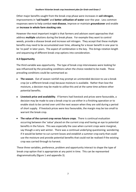Other major benefits sought from the break crop phase were increases in **soil nitrogen**, improvements in **'soil health'** and **better utilisation of water** over the year. Less common responses were to help combat **root disease**, improve or maintain **groundcover** and enable an **increase in whole farm stocking rate**.

However the most important insight is that farmers and advisors want approaches that address **multiple** solutions during the break phase. For example they want to control weeds, provide a disease break and increase soil nitrogen. They accept that these multiple benefits may need to be accumulated over time, allowing for a lesser benefit in one year to be 're-paid' in later years. The aspect of combination is the key. This brings rotation length and sequencing of different break crop options into consideration.

# **4.3 Opportunity**

The third variable was opportunity. The type of break crop interviewees were looking for was influenced by the prevailing conditions when the choice needed to be made. These prevailing conditions could be summarised as:

- **The season**. Out of season rainfall may prompt an unintended decision to use a break crop (or a different break crop) because moisture is available. Rather than lose the moisture, a decision may be made to utilise this and at the same time achieve other potential benefits.
- **Livestock price and availability**. If farmers had livestock and prices were favourable, a decision may be made to sow a break crop to use either in a finishing operation or to enable stock to be carried over until the next season when they are sold during a period of short supply. If livestock prices were less favourable, the margin may be too small to warrant the break crop.
- **The value of the current crop verses future crops**. There is continual evaluation occurring between the 'value' placed on the current crop and having an eye to potential benefits in the future. This was especially the case when current crops were marginal, say though a very wet winter. There was a continual underlying questioning; wondering if it would be better to cut current losses and establish a summer crop early that could use the moisture and provide potential benefits that could not be realised if the existing crop was carried through to harvest.

These three variables, preference, problem and opportunity interact to shape the type of break crop option that is appropriate at any point in time. This can be represented diagrammatically (figure 1 and appendix 3).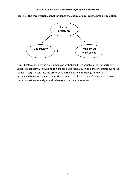



It is critical to consider the time dimension with these three variables. The opportunity variable is constantly in flux and can change quite rapidly such as a major climatic event (eg rainfall, frost). In contrast the preference variable is slow to change (and often is entrenched between generations). The problem to solve variable often resides between these two extremes and generally develops over several seasons.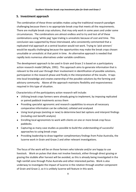## **5. Investment approach**

The combination of these three variables makes using the traditional research paradigm challenging because there is no appropriate break crop that meets all the requirements. There are multiple break crop solutions, that may only work in some years and under some circumstances. The combinations are almost endless and to try and test *all* of these combinations using 'white peg' type trialing is unrealistic because of cost and time. This conclusion was supported by those interviewed, who consistently commented that a replicated trial approach at a central location would not work. Trying to 'pick winners' would be equally challenging because the opportunities may make the break crops chosen unsuitable or unrealistic at that point in time. An alternative approach is needed that rapidly tests numerous alternatives under variable conditions.

The development approach to be used in Grain and Graze 2 is based on a participatory action research model (Whyte, 1991). This approach aims to generate information that is relevant to the end user through their involvement in identification of possible solutions, participation in the research phase and finally in the interpretation of the results. It taps into local knowledge and creates ownership of the possible solutions by the farming and advisory community. Above all the approach maintains flexibility and responsiveness required in this type of situation.

Characteristics of the participatory action research will include:

- Utilising break crops farmers were already going to implement, by imposing replicated or paired paddock treatments across them
- Providing specialist agronomic and research capabilities to ensure all necessary comparative information can be collected, collated and analysed
- Using local groups (existing or new) to determine best bet options and interpret findings (including cost benefit analysis)
- Enrolling local agronomists to work with clients on one or more break crop focus paddocks.
- Capturing as many case studies as possible to build the understanding of successful approaches to using break crops
- Providing leadership to draw together complimentary findings from Pulse Australia, the lucerne work in Grain and Graze 2 and other relevant investigations.

The focus of the work will be on those farmers who tolerate and/or are happy to use livestock. Work on pulses that does not involve livestock, either through direct grazing or grazing the stubble after harvest will be avoided, as this is already being investigated in the high rainfall zone through Pulse Australia and other interested parties. Work is also underway to investigate the impact of lucerne in the rotation through another component of Grain and Graze 2, so it is unlikely lucerne will feature in this work.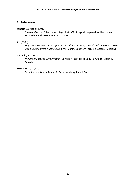# **6. References**

#### Roberts Evaluation (2010)

*Grain and Graze 2 Benchmark Report (draft).* A report prepared for the Grains Research and development Corporation

#### SFS (2008)

*Regional awareness, participation and adoption survey. Results of a regional survey in the Corangamite / Glenelg Hopkins Region.* Southern Farming Systems, Geelong

#### Stanfield, B. (1997)

*The Art of Focused Conversation*, Canadian Institute of Cultural Affairs, Ontario, Canada

#### Whyte, W. F. (1991)

*Participatory Action Research*, Sage, Newbury Park, USA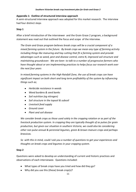## **Appendix 1: Outline of structured interview approach**

A semi-structured interview approach was adopted for this market research. The interview had four distinct steps

## **Step 1**

After a brief introduction of the interviewer and the Grain Graze 2 program, a background statement was read out that outlined the focus and scope of the interview.

*The Grain and Graze program believes break crops will be a crucial component of a mixed farming system in the future. By break crops we mean any type of farming activity including things like manuring and hay cutting that fit a farming system and provide advantages such as weed, pest and disease control, extra N, improved soil structure and maintaining groundcover. We are keen to talk to a number of progressive farmers who have thought about or are implementing practices to helps focus our research work over the next four years* 

*In mixed farming systems in the High Rainfall Zone, the use of break crops can have significant impact on both short and long term profitability of the system by influencing things such as;*

- *Herbicide resistance in weeds*
- *Weed burdens & seed banks*
- *Soil nutrition (eg nitrogen)*
- *Soil structure in the topsoil & subsoil*
- *Livestock feed supply*
- *Ground cover*
- *Plant and soil disease*

*We consider break crops as those used solely in the cropping rotation or as part of the livestock production system. In cropping they are typically thought of as pulses for grain production, but given our situation in southern Victoria, we could also be considering other non pulse annual & perennial legumes, green & brown manure crops and perhaps brassicas.* 

*So with this in mind, could I ask you a number of questions to get your experiences and thoughts on break crops and legumes in your cropping system.* 

## **Step 2**

Questions were asked to develop an understanding of current and historic practices and observations of each interviewee. Questions included:

- What types of break crops have you tried and how did they go?
- Why did you use this (these) break crop(s)?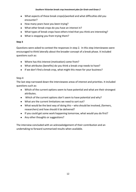- What aspects of these break crops(s)worked and what difficulties did you encounter?
- How many years have you been trying?
- What other break crops do you have an interest in?
- What types of break crops have others tried that you think are interesting?
- What is stopping you from trying them?

### **Step 3**

Questions were asked to context the responses in step 2. In this step interviewees were encouraged to think laterally about the broader concept of a break phase. It included questions such as:

- Where has this interest (motivation) come from?
- What attributes (benefits) do you think a break crop needs to have?
- If we don't find a break crop, what might this mean for your business?

## Step 4

The last step narrowed down the interviewees areas of interest and priorities. It included questions such as:

- Which of the current options seem to have potential and what are their strongest attributes.
- Which of the current options don't seem to have potential and why?
- What are the current limitations we need to sort out?
- What would be the best way of doing this who should be involved, (farmers, researchers) and how should it be delivered?
- If you could get some work happening tomorrow, what would you do first?
- Any other thoughts or suggestions?

The interview concluded with an acknowledgement of their contribution and an undertaking to forward summarised results when available.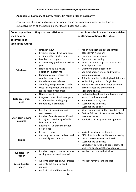## **Appendix 2: Summary of survey results (in rough order of popularity)**

Compilation of responses from interviewees. These are comments made rather than an exhaustive list of all the possible benefits, attributes and issues.

| <b>Break crop (either</b>     | Why used and attributes                                                                                                                                                                                                                                                                                                                                                                                                                                                                         | Issues to resolve to make it a more viable                                                                                                                                                                                                                                                                                                                                                                                                                                                                                                                                         |
|-------------------------------|-------------------------------------------------------------------------------------------------------------------------------------------------------------------------------------------------------------------------------------------------------------------------------------------------------------------------------------------------------------------------------------------------------------------------------------------------------------------------------------------------|------------------------------------------------------------------------------------------------------------------------------------------------------------------------------------------------------------------------------------------------------------------------------------------------------------------------------------------------------------------------------------------------------------------------------------------------------------------------------------------------------------------------------------------------------------------------------------|
| used or with                  |                                                                                                                                                                                                                                                                                                                                                                                                                                                                                                 | or attractive option in the future                                                                                                                                                                                                                                                                                                                                                                                                                                                                                                                                                 |
| potential to be               |                                                                                                                                                                                                                                                                                                                                                                                                                                                                                                 |                                                                                                                                                                                                                                                                                                                                                                                                                                                                                                                                                                                    |
| used in the future)           |                                                                                                                                                                                                                                                                                                                                                                                                                                                                                                 |                                                                                                                                                                                                                                                                                                                                                                                                                                                                                                                                                                                    |
|                               |                                                                                                                                                                                                                                                                                                                                                                                                                                                                                                 |                                                                                                                                                                                                                                                                                                                                                                                                                                                                                                                                                                                    |
| <b>Faba beans</b>             | Nitrogen input<br>$\bullet$<br>Ryegrass control by allowing use<br>٠<br>of different herbicide groups<br>Enables crop topping<br>$\bullet$<br>Achieves very good results in drier<br>$\bullet$<br>years<br>Has feed value in a mixed<br>$\bullet$<br>operation (system fit)<br>Comparable gross margin to<br>٠<br>canola in good years<br>Cereal root disease break<br>$\bullet$<br>Stubble grazing value with lambs<br>٠<br>Used in conjunction with canola<br>٠<br>(as the second year break) | Achieving adequate disease control,<br>$\bullet$<br>especially in wet years<br>Optimum time of sowing<br>٠<br>Optimum row spacing<br>$\bullet$<br>As a stand alone crop, not profitable in<br>٠<br>year of production<br>Quantify nitrogen deposition<br>$\bullet$<br>Soil amelioration effects and value to<br>$\bullet$<br>subsequent crops<br>Suitable varieties for the high rainfall zone<br>$\bullet$<br>Withholding periods of fungicides<br>$\bullet$<br>Reliability of production when different<br>٠<br>circumstances are encountered<br>Marketing of grain<br>$\bullet$ |
| Field peas, chick<br>peas     | Nitrogen input<br>$\bullet$<br>Ryegrass control by allowing use<br>$\bullet$<br>of different herbicide groups<br>Stubble hay is profitable<br>$\bullet$                                                                                                                                                                                                                                                                                                                                         | Understanding the nutrient balance and<br>$\bullet$<br>loss of N on hay removal<br>Poor yields if a dry finish<br>$\bullet$<br>Susceptibility to disease<br>Susceptibility to frost<br>٠                                                                                                                                                                                                                                                                                                                                                                                           |
| Short term legume<br>pastures | Excellent nitrogen input and<br>٠<br>ryegrass control<br>Excellent financial returns if used<br>$\bullet$<br>in conjunction with a profitable<br>livestock system<br>Returns less volatile than other<br>$\bullet$<br>break crops                                                                                                                                                                                                                                                               | Winter productivity if there is a late break<br>$\bullet$<br>Pasture & livestock management skills to<br>maximise returns<br>Paddock size and grazing management<br>٠                                                                                                                                                                                                                                                                                                                                                                                                              |
| <b>Lupins</b>                 | Ryegrass control<br>Can be grown successfully on well<br>$\bullet$<br>drained lighter country                                                                                                                                                                                                                                                                                                                                                                                                   | Variable yields(and profitability)<br>Difficult to handle stubble loads at sowing<br>٠<br>Unsuitable on heavier basalt soils<br>$\bullet$<br>Susceptibility to disease<br>٠<br>Difficulty in being able to apply sprays at<br>idea time due to weather conditions                                                                                                                                                                                                                                                                                                                  |
| Rye grass (for<br>fodder)     | Excellent ryegrass control because<br>$\bullet$<br>cutting enabling seed removal<br>٠                                                                                                                                                                                                                                                                                                                                                                                                           | Nutrient removal in the fodder<br>$\bullet$                                                                                                                                                                                                                                                                                                                                                                                                                                                                                                                                        |
| Cereal hay (for<br>fodder)    | Ability to spray top annual grasses<br>$\bullet$<br>Ability to cut enabling seed<br>٠<br>removal<br>Ability to cut and then sow barley                                                                                                                                                                                                                                                                                                                                                          | Nutrient removal in the fodder                                                                                                                                                                                                                                                                                                                                                                                                                                                                                                                                                     |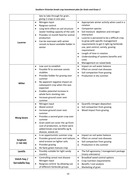|                   | late to take through for grain,<br>giving 2 crops in one year. |                                                         |
|-------------------|----------------------------------------------------------------|---------------------------------------------------------|
|                   | Nitrogen input<br>$\bullet$                                    | Appropriate winter activity when used in a<br>$\bullet$ |
|                   | Ryegrass control<br>٠                                          | rotation                                                |
|                   | Long term effect on soil structure<br>٠                        | <b>Companion species</b><br>٠                           |
|                   | (water holding capacity of the soil)                           | Soil moisture depletion and nitrogen<br>٠               |
|                   | Provides 12 month feed for animal<br>$\bullet$                 | interaction                                             |
|                   | production                                                     | Lucerne is perceived to be a difficult crop<br>٠        |
|                   | Can be oversown with winter                                    | to grow with specific management                        |
| Lucerne           | cereals to boost available fodder in                           | requirements to get it right eg herbicide               |
|                   | winter                                                         | use, pest control, variety, grazing                     |
|                   |                                                                | requirement                                             |
|                   |                                                                | Length of time in rotation<br>٠                         |
|                   |                                                                | Understanding of systems benefits and<br>٠              |
|                   |                                                                | costs                                                   |
|                   |                                                                | Management on raised beds<br>٠                          |
|                   | Low cost to establish<br>$\bullet$                             | Impact on soil water balance<br>$\bullet$               |
|                   | Possible fit to oversow canola<br>$\bullet$                    | Effect on cereal root diseases<br>٠                     |
|                   | stubbles                                                       | Soil compaction from grazing<br>٠                       |
|                   | Provides fodder for grazing over<br>٠                          | Production in dry summer<br>٠                           |
|                   | summer                                                         |                                                         |
|                   | No apparent negative impact on<br>$\bullet$                    |                                                         |
| <b>Millet</b>     | subsequent crop when this was                                  |                                                         |
|                   | expected                                                       |                                                         |
|                   | Enables potential increase in<br>$\bullet$                     |                                                         |
|                   | whole farm stocking rate                                       |                                                         |
|                   | Increase ground cover over<br>٠                                |                                                         |
|                   | summer                                                         |                                                         |
|                   | Nitrogen input<br>$\bullet$                                    | Quantify nitrogen deposition<br>$\bullet$               |
|                   | Weed control<br>٠                                              | Soil compaction from grazing<br>٠                       |
|                   | Increase ground cover over<br>٠                                | Weed impact from grazing<br>٠                           |
|                   | summer                                                         |                                                         |
| <b>Mung beans</b> | Provides a second grain crop over                              |                                                         |
|                   | summer                                                         |                                                         |
|                   | Grain yield can cover the up-front<br>$\bullet$                |                                                         |
|                   | cost of production, so there were                              |                                                         |
|                   | added break crop benefits eg N,                                |                                                         |
|                   | disease, weeds etc                                             |                                                         |
|                   | Is an opportunistic summer crop<br>$\bullet$                   | Impact on soil water balance<br>$\bullet$               |
| Sorghum           | Provides ground cover and reduces<br>$\bullet$                 | Effect on cereal root diseases<br>$\bullet$             |
| $(+$ lab lab)     | wind erosion on lighter soils                                  | Soil compaction from grazing<br>$\bullet$               |
|                   | Provides grazing<br>$\bullet$                                  | Production in dry summer<br>$\bullet$                   |
|                   | De facto green manure crop<br>٠                                |                                                         |
| Lentils           | Possibly suitable for light sandy<br>$\bullet$                 | The full agronomy / management package<br>$\bullet$     |
|                   | country                                                        | (many unknowns)                                         |
| Vetch hay /       | Controlling cereal root disease<br>$\bullet$                   | $\bullet$<br>Broadleaf weed control options             |
| Serradella hay    | Nitrogen input                                                 | Crop nutrition requirements<br>$\bullet$                |
|                   | Ryegrass control by allowing use<br>٠                          | Benefit / cost analysis<br>٠                            |
|                   | of different herbicide groups                                  | Marketing of grain                                      |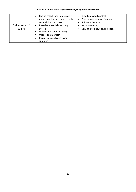| Fodder rape $+/-$<br>millet | Can be established immediately<br>pre or post the harvest of a winter<br>crop winter crop harvest<br>Provides potential year long<br>٠<br>grazing | Broadleaf weed control<br>Effect on cereal root diseases<br>$\bullet$<br>Soil water balance<br>Nitrogen balance<br>Sowing into heavy stubble loads |
|-----------------------------|---------------------------------------------------------------------------------------------------------------------------------------------------|----------------------------------------------------------------------------------------------------------------------------------------------------|
|                             |                                                                                                                                                   |                                                                                                                                                    |
|                             |                                                                                                                                                   |                                                                                                                                                    |
|                             | Second 'kill' spray in Spring                                                                                                                     |                                                                                                                                                    |
|                             | Utilizes summer rain                                                                                                                              |                                                                                                                                                    |
|                             | Increase ground cover over                                                                                                                        |                                                                                                                                                    |
|                             | summer                                                                                                                                            |                                                                                                                                                    |